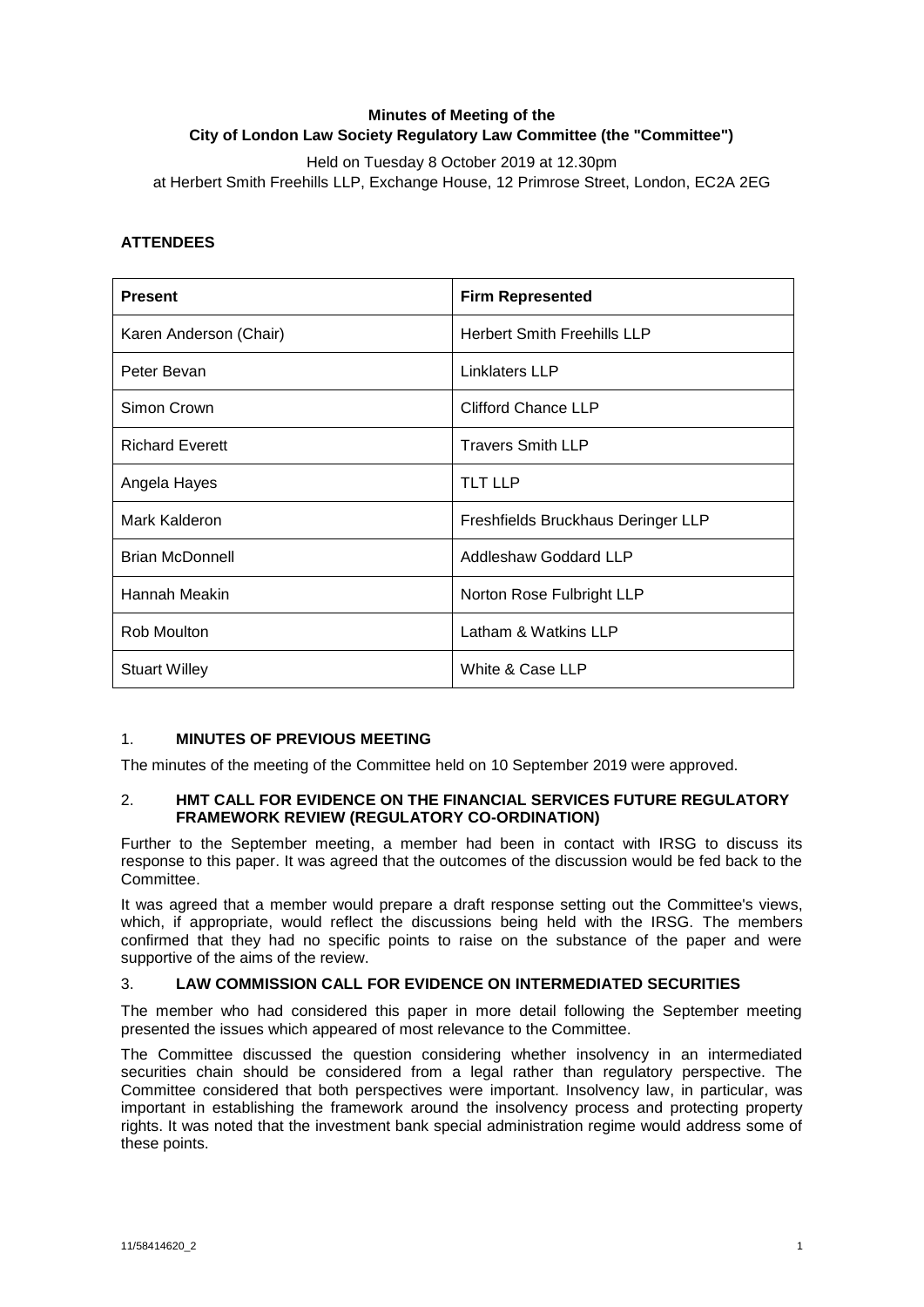# **Minutes of Meeting of the City of London Law Society Regulatory Law Committee (the "Committee")**

Held on Tuesday 8 October 2019 at 12.30pm at Herbert Smith Freehills LLP, Exchange House, 12 Primrose Street, London, EC2A 2EG

## **ATTENDEES**

| <b>Present</b>         | <b>Firm Represented</b>            |
|------------------------|------------------------------------|
| Karen Anderson (Chair) | <b>Herbert Smith Freehills LLP</b> |
| Peter Bevan            | Linklaters LLP                     |
| Simon Crown            | <b>Clifford Chance LLP</b>         |
| <b>Richard Everett</b> | <b>Travers Smith LLP</b>           |
| Angela Hayes           | <b>TLT LLP</b>                     |
| Mark Kalderon          | Freshfields Bruckhaus Deringer LLP |
| <b>Brian McDonnell</b> | Addleshaw Goddard LLP              |
| Hannah Meakin          | Norton Rose Fulbright LLP          |
| Rob Moulton            | Latham & Watkins LLP               |
| <b>Stuart Willey</b>   | White & Case LLP                   |

## 1. **MINUTES OF PREVIOUS MEETING**

The minutes of the meeting of the Committee held on 10 September 2019 were approved.

#### 2. **HMT CALL FOR EVIDENCE ON THE FINANCIAL SERVICES FUTURE REGULATORY FRAMEWORK REVIEW (REGULATORY CO-ORDINATION)**

Further to the September meeting, a member had been in contact with IRSG to discuss its response to this paper. It was agreed that the outcomes of the discussion would be fed back to the Committee.

It was agreed that a member would prepare a draft response setting out the Committee's views, which, if appropriate, would reflect the discussions being held with the IRSG. The members confirmed that they had no specific points to raise on the substance of the paper and were supportive of the aims of the review.

## 3. **LAW COMMISSION CALL FOR EVIDENCE ON INTERMEDIATED SECURITIES**

The member who had considered this paper in more detail following the September meeting presented the issues which appeared of most relevance to the Committee.

The Committee discussed the question considering whether insolvency in an intermediated securities chain should be considered from a legal rather than regulatory perspective. The Committee considered that both perspectives were important. Insolvency law, in particular, was important in establishing the framework around the insolvency process and protecting property rights. It was noted that the investment bank special administration regime would address some of these points.